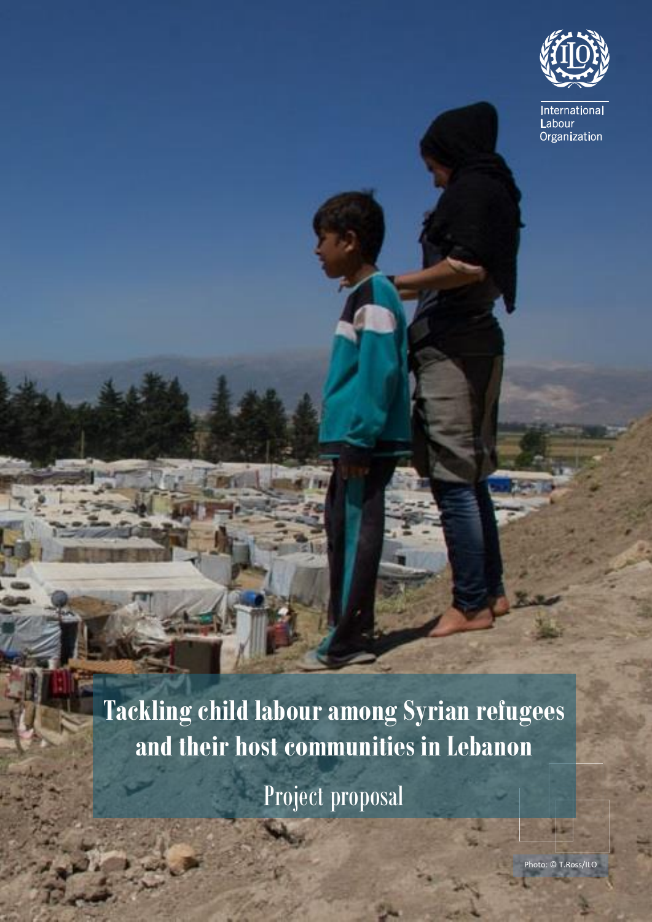

International Labour Organization

**Tackling child labour among Syrian refugees and their host communities in Lebanon**

Project proposal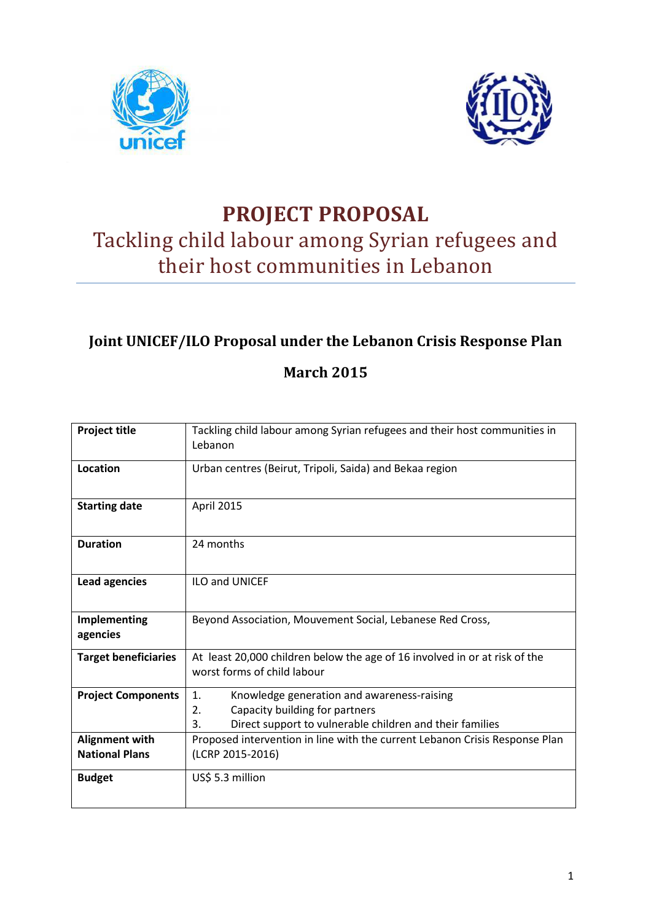



# **PROJECT PROPOSAL**  Tackling child labour among Syrian refugees and their host communities in Lebanon

# **Joint UNICEF/ILO Proposal under the Lebanon Crisis Response Plan**

## **March 2015**

| <b>Project title</b>                           | Tackling child labour among Syrian refugees and their host communities in<br>Lebanon                                                                       |
|------------------------------------------------|------------------------------------------------------------------------------------------------------------------------------------------------------------|
| Location                                       | Urban centres (Beirut, Tripoli, Saida) and Bekaa region                                                                                                    |
| <b>Starting date</b>                           | April 2015                                                                                                                                                 |
| <b>Duration</b>                                | 24 months                                                                                                                                                  |
| <b>Lead agencies</b>                           | <b>ILO and UNICEF</b>                                                                                                                                      |
| Implementing<br>agencies                       | Beyond Association, Mouvement Social, Lebanese Red Cross,                                                                                                  |
| <b>Target beneficiaries</b>                    | At least 20,000 children below the age of 16 involved in or at risk of the<br>worst forms of child labour                                                  |
| <b>Project Components</b>                      | 1.<br>Knowledge generation and awareness-raising<br>2.<br>Capacity building for partners<br>Direct support to vulnerable children and their families<br>3. |
| <b>Alignment with</b><br><b>National Plans</b> | Proposed intervention in line with the current Lebanon Crisis Response Plan<br>(LCRP 2015-2016)                                                            |
| <b>Budget</b>                                  | US\$ 5.3 million                                                                                                                                           |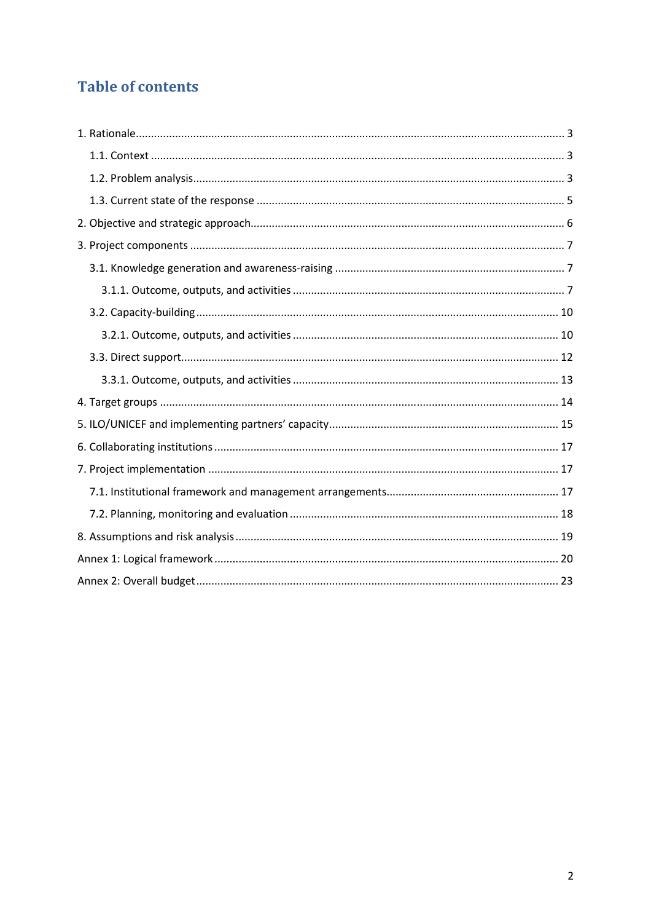# **Table of contents**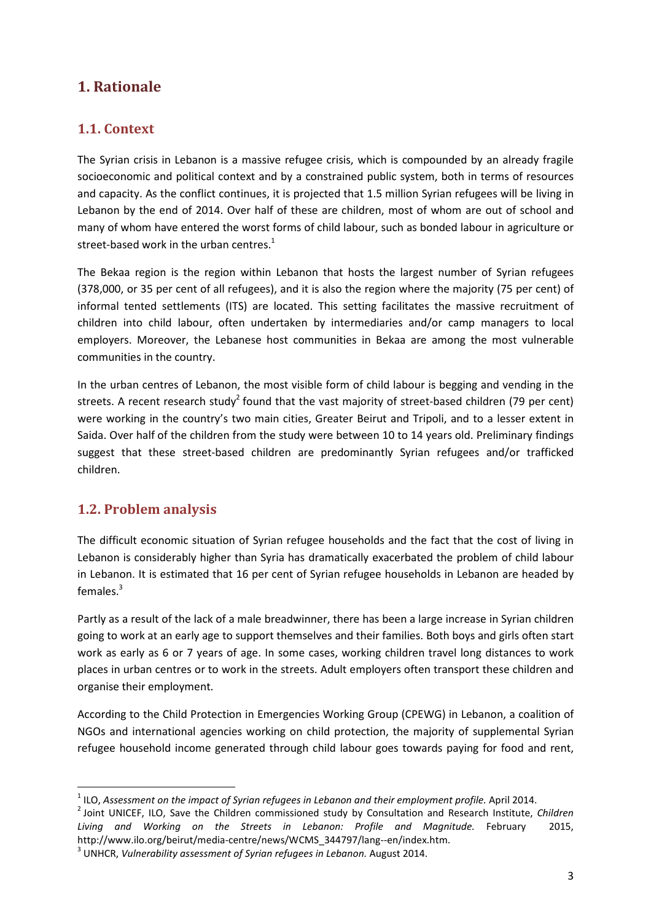### **1. Rationale**

### **1.1. Context**

The Syrian crisis in Lebanon is a massive refugee crisis, which is compounded by an already fragile socioeconomic and political context and by a constrained public system, both in terms of resources and capacity. As the conflict continues, it is projected that 1.5 million Syrian refugees will be living in Lebanon by the end of 2014. Over half of these are children, most of whom are out of school and many of whom have entered the worst forms of child labour, such as bonded labour in agriculture or street-based work in the urban centres.<sup>1</sup>

The Bekaa region is the region within Lebanon that hosts the largest number of Syrian refugees (378,000, or 35 per cent of all refugees), and it is also the region where the majority (75 per cent) of informal tented settlements (ITS) are located. This setting facilitates the massive recruitment of children into child labour, often undertaken by intermediaries and/or camp managers to local employers. Moreover, the Lebanese host communities in Bekaa are among the most vulnerable communities in the country.

In the urban centres of Lebanon, the most visible form of child labour is begging and vending in the streets. A recent research study<sup>2</sup> found that the vast majority of street-based children (79 per cent) were working in the country's two main cities, Greater Beirut and Tripoli, and to a lesser extent in Saida. Over half of the children from the study were between 10 to 14 years old. Preliminary findings suggest that these street-based children are predominantly Syrian refugees and/or trafficked children.

### **1.2. Problem analysis**

l

The difficult economic situation of Syrian refugee households and the fact that the cost of living in Lebanon is considerably higher than Syria has dramatically exacerbated the problem of child labour in Lebanon. It is estimated that 16 per cent of Syrian refugee households in Lebanon are headed by females.<sup>3</sup>

Partly as a result of the lack of a male breadwinner, there has been a large increase in Syrian children going to work at an early age to support themselves and their families. Both boys and girls often start work as early as 6 or 7 years of age. In some cases, working children travel long distances to work places in urban centres or to work in the streets. Adult employers often transport these children and organise their employment.

According to the Child Protection in Emergencies Working Group (CPEWG) in Lebanon, a coalition of NGOs and international agencies working on child protection, the majority of supplemental Syrian refugee household income generated through child labour goes towards paying for food and rent,

<sup>&</sup>lt;sup>1</sup> ILO, Assessment on the impact of Syrian refugees in Lebanon and their employment profile. April 2014.

<sup>2</sup> Joint UNICEF, ILO, Save the Children commissioned study by Consultation and Research Institute, *Children Living and Working on the Streets in Lebanon: Profile and Magnitude.* February 2015, http://www.ilo.org/beirut/media-centre/news/WCMS\_344797/lang--en/index.htm.

<sup>&</sup>lt;sup>3</sup> UNHCR, *Vulnerability assessment of Syrian refugees in Lebanon.* August 2014.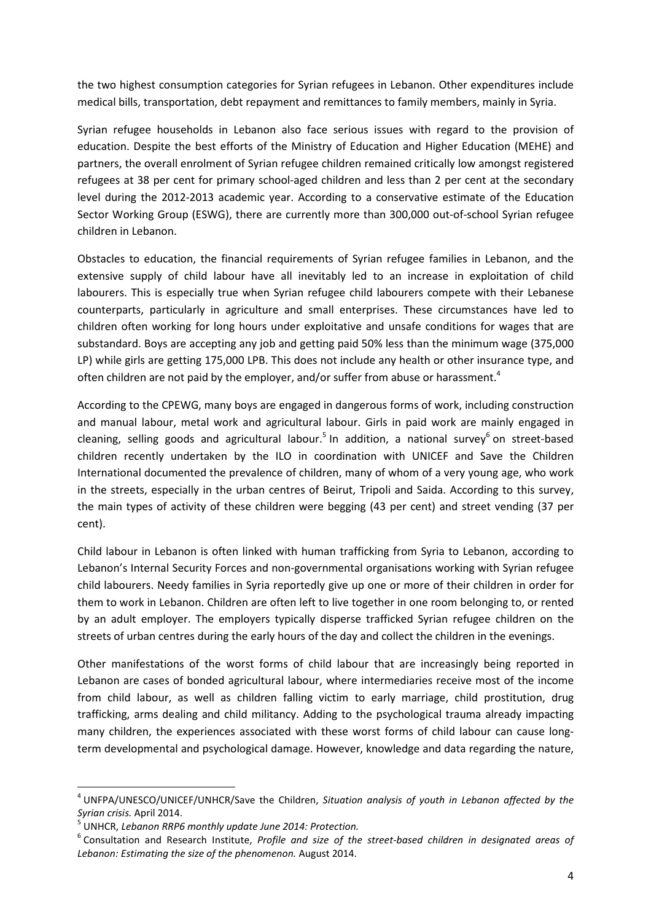the two highest consumption categories for Syrian refugees in Lebanon. Other expenditures include medical bills, transportation, debt repayment and remittances to family members, mainly in Syria.

Syrian refugee households in Lebanon also face serious issues with regard to the provision of education. Despite the best efforts of the Ministry of Education and Higher Education (MEHE) and partners, the overall enrolment of Syrian refugee children remained critically low amongst registered refugees at 38 per cent for primary school-aged children and less than 2 per cent at the secondary level during the 2012-2013 academic year. According to a conservative estimate of the Education Sector Working Group (ESWG), there are currently more than 300,000 out-of-school Syrian refugee children in Lebanon.

Obstacles to education, the financial requirements of Syrian refugee families in Lebanon, and the extensive supply of child labour have all inevitably led to an increase in exploitation of child labourers. This is especially true when Syrian refugee child labourers compete with their Lebanese counterparts, particularly in agriculture and small enterprises. These circumstances have led to children often working for long hours under exploitative and unsafe conditions for wages that are substandard. Boys are accepting any job and getting paid 50% less than the minimum wage (375,000 LP) while girls are getting 175,000 LPB. This does not include any health or other insurance type, and often children are not paid by the employer, and/or suffer from abuse or harassment.<sup>4</sup>

According to the CPEWG, many boys are engaged in dangerous forms of work, including construction and manual labour, metal work and agricultural labour. Girls in paid work are mainly engaged in cleaning, selling goods and agricultural labour.<sup>5</sup> In addition, a national survey<sup>6</sup> on street-based children recently undertaken by the ILO in coordination with UNICEF and Save the Children International documented the prevalence of children, many of whom of a very young age, who work in the streets, especially in the urban centres of Beirut, Tripoli and Saida. According to this survey, the main types of activity of these children were begging (43 per cent) and street vending (37 per cent).

Child labour in Lebanon is often linked with human trafficking from Syria to Lebanon, according to Lebanon's Internal Security Forces and non-governmental organisations working with Syrian refugee child labourers. Needy families in Syria reportedly give up one or more of their children in order for them to work in Lebanon. Children are often left to live together in one room belonging to, or rented by an adult employer. The employers typically disperse trafficked Syrian refugee children on the streets of urban centres during the early hours of the day and collect the children in the evenings.

Other manifestations of the worst forms of child labour that are increasingly being reported in Lebanon are cases of bonded agricultural labour, where intermediaries receive most of the income from child labour, as well as children falling victim to early marriage, child prostitution, drug trafficking, arms dealing and child militancy. Adding to the psychological trauma already impacting many children, the experiences associated with these worst forms of child labour can cause longterm developmental and psychological damage. However, knowledge and data regarding the nature,

l

<sup>4</sup> UNFPA/UNESCO/UNICEF/UNHCR/Save the Children, *Situation analysis of youth in Lebanon affected by the Syrian crisis.* April 2014.

<sup>5</sup> UNHCR, *Lebanon RRP6 monthly update June 2014: Protection.* 

<sup>6</sup> Consultation and Research Institute, *Profile and size of the street-based children in designated areas of Lebanon: Estimating the size of the phenomenon.* August 2014.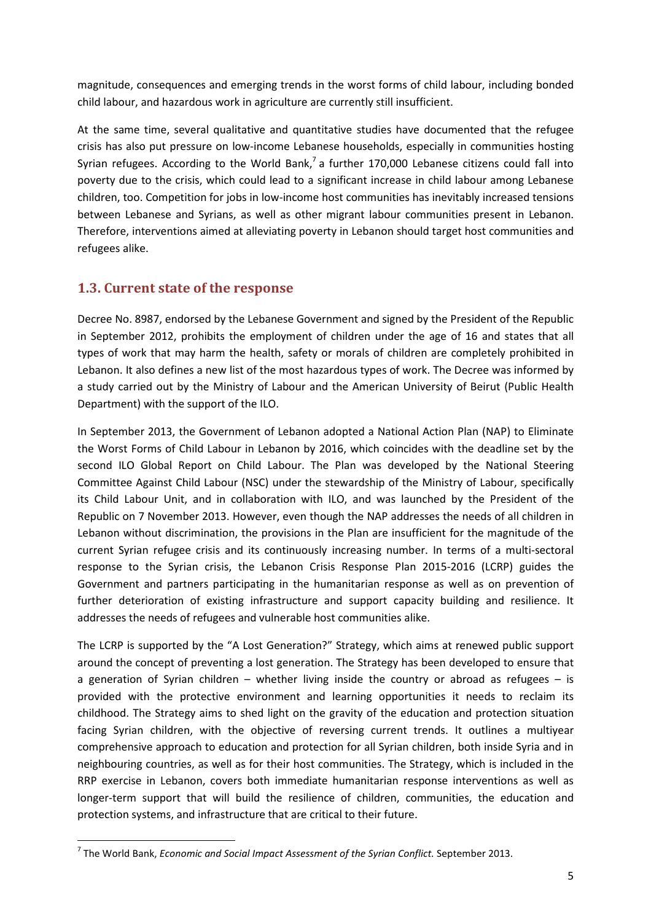magnitude, consequences and emerging trends in the worst forms of child labour, including bonded child labour, and hazardous work in agriculture are currently still insufficient.

At the same time, several qualitative and quantitative studies have documented that the refugee crisis has also put pressure on low-income Lebanese households, especially in communities hosting Syrian refugees. According to the World Bank,<sup>7</sup> a further 170,000 Lebanese citizens could fall into poverty due to the crisis, which could lead to a significant increase in child labour among Lebanese children, too. Competition for jobs in low-income host communities has inevitably increased tensions between Lebanese and Syrians, as well as other migrant labour communities present in Lebanon. Therefore, interventions aimed at alleviating poverty in Lebanon should target host communities and refugees alike.

### **1.3. Current state of the response**

l

Decree No. 8987, endorsed by the Lebanese Government and signed by the President of the Republic in September 2012, prohibits the employment of children under the age of 16 and states that all types of work that may harm the health, safety or morals of children are completely prohibited in Lebanon. It also defines a new list of the most hazardous types of work. The Decree was informed by a study carried out by the Ministry of Labour and the American University of Beirut (Public Health Department) with the support of the ILO.

In September 2013, the Government of Lebanon adopted a National Action Plan (NAP) to Eliminate the Worst Forms of Child Labour in Lebanon by 2016, which coincides with the deadline set by the second ILO Global Report on Child Labour. The Plan was developed by the National Steering Committee Against Child Labour (NSC) under the stewardship of the Ministry of Labour, specifically its Child Labour Unit, and in collaboration with ILO, and was launched by the President of the Republic on 7 November 2013. However, even though the NAP addresses the needs of all children in Lebanon without discrimination, the provisions in the Plan are insufficient for the magnitude of the current Syrian refugee crisis and its continuously increasing number. In terms of a multi-sectoral response to the Syrian crisis, the Lebanon Crisis Response Plan 2015-2016 (LCRP) guides the Government and partners participating in the humanitarian response as well as on prevention of further deterioration of existing infrastructure and support capacity building and resilience. It addresses the needs of refugees and vulnerable host communities alike.

The LCRP is supported by the "A Lost Generation?" Strategy, which aims at renewed public support around the concept of preventing a lost generation. The Strategy has been developed to ensure that a generation of Syrian children – whether living inside the country or abroad as refugees – is provided with the protective environment and learning opportunities it needs to reclaim its childhood. The Strategy aims to shed light on the gravity of the education and protection situation facing Syrian children, with the objective of reversing current trends. It outlines a multiyear comprehensive approach to education and protection for all Syrian children, both inside Syria and in neighbouring countries, as well as for their host communities. The Strategy, which is included in the RRP exercise in Lebanon, covers both immediate humanitarian response interventions as well as longer-term support that will build the resilience of children, communities, the education and protection systems, and infrastructure that are critical to their future.

<sup>7</sup> The World Bank, *Economic and Social Impact Assessment of the Syrian Conflict.* September 2013.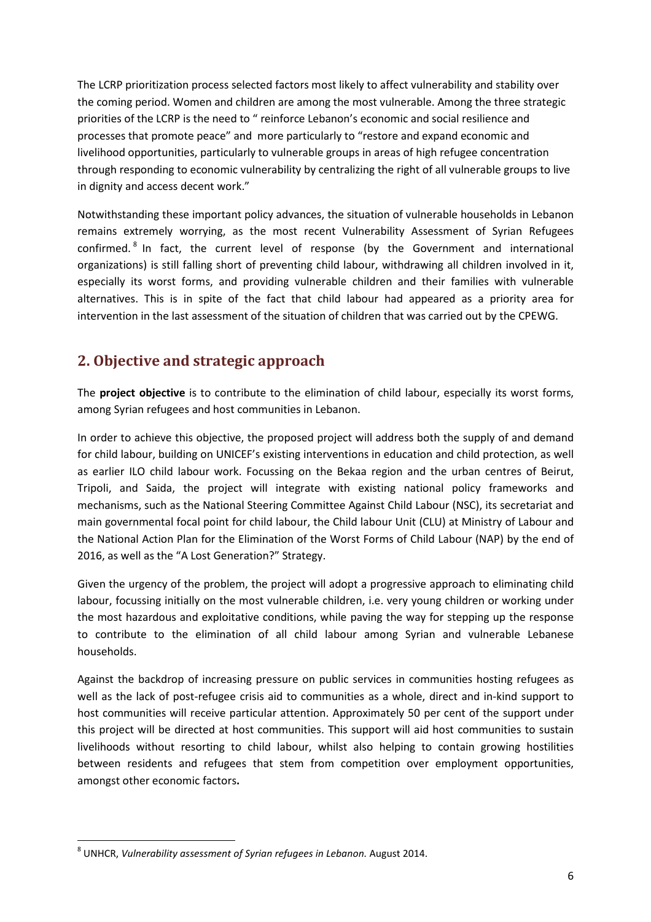The LCRP prioritization process selected factors most likely to affect vulnerability and stability over the coming period. Women and children are among the most vulnerable. Among the three strategic priorities of the LCRP is the need to " reinforce Lebanon's economic and social resilience and processes that promote peace" and more particularly to "restore and expand economic and livelihood opportunities, particularly to vulnerable groups in areas of high refugee concentration through responding to economic vulnerability by centralizing the right of all vulnerable groups to live in dignity and access decent work."

Notwithstanding these important policy advances, the situation of vulnerable households in Lebanon remains extremely worrying, as the most recent Vulnerability Assessment of Syrian Refugees confirmed.<sup>8</sup> In fact, the current level of response (by the Government and international organizations) is still falling short of preventing child labour, withdrawing all children involved in it, especially its worst forms, and providing vulnerable children and their families with vulnerable alternatives. This is in spite of the fact that child labour had appeared as a priority area for intervention in the last assessment of the situation of children that was carried out by the CPEWG.

### **2. Objective and strategic approach**

The **project objective** is to contribute to the elimination of child labour, especially its worst forms, among Syrian refugees and host communities in Lebanon.

In order to achieve this objective, the proposed project will address both the supply of and demand for child labour, building on UNICEF's existing interventions in education and child protection, as well as earlier ILO child labour work. Focussing on the Bekaa region and the urban centres of Beirut, Tripoli, and Saida, the project will integrate with existing national policy frameworks and mechanisms, such as the National Steering Committee Against Child Labour (NSC), its secretariat and main governmental focal point for child labour, the Child labour Unit (CLU) at Ministry of Labour and the National Action Plan for the Elimination of the Worst Forms of Child Labour (NAP) by the end of 2016, as well as the "A Lost Generation?" Strategy.

Given the urgency of the problem, the project will adopt a progressive approach to eliminating child labour, focussing initially on the most vulnerable children, i.e. very young children or working under the most hazardous and exploitative conditions, while paving the way for stepping up the response to contribute to the elimination of all child labour among Syrian and vulnerable Lebanese households.

Against the backdrop of increasing pressure on public services in communities hosting refugees as well as the lack of post-refugee crisis aid to communities as a whole, direct and in-kind support to host communities will receive particular attention. Approximately 50 per cent of the support under this project will be directed at host communities. This support will aid host communities to sustain livelihoods without resorting to child labour, whilst also helping to contain growing hostilities between residents and refugees that stem from competition over employment opportunities, amongst other economic factors**.** 

l

<sup>8</sup> UNHCR, *Vulnerability assessment of Syrian refugees in Lebanon.* August 2014.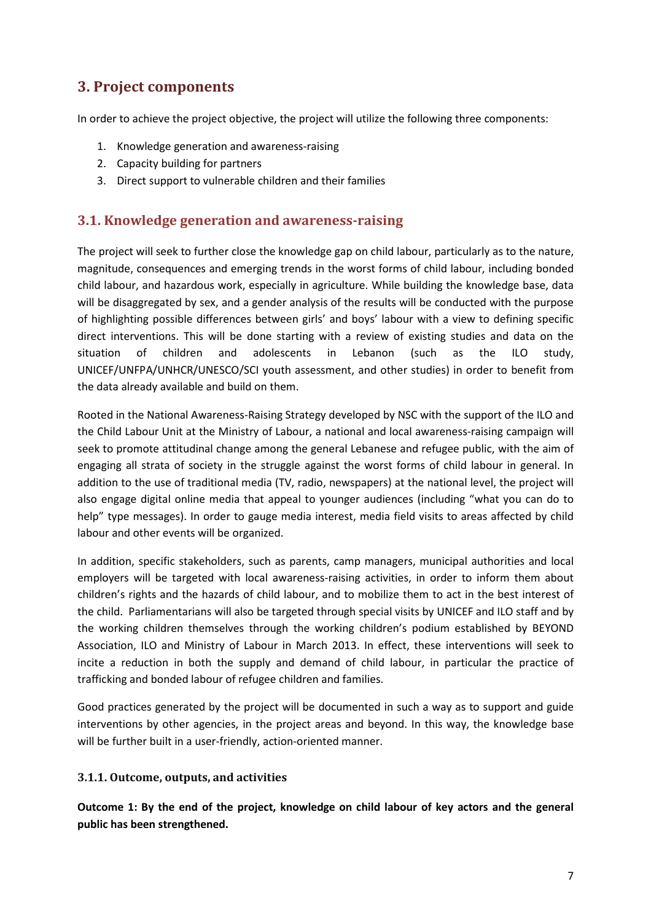### **3. Project components**

In order to achieve the project objective, the project will utilize the following three components:

- 1. Knowledge generation and awareness-raising
- 2. Capacity building for partners
- 3. Direct support to vulnerable children and their families

### **3.1. Knowledge generation and awareness-raising**

The project will seek to further close the knowledge gap on child labour, particularly as to the nature, magnitude, consequences and emerging trends in the worst forms of child labour, including bonded child labour, and hazardous work, especially in agriculture. While building the knowledge base, data will be disaggregated by sex, and a gender analysis of the results will be conducted with the purpose of highlighting possible differences between girls' and boys' labour with a view to defining specific direct interventions. This will be done starting with a review of existing studies and data on the situation of children and adolescents in Lebanon (such as the ILO study, UNICEF/UNFPA/UNHCR/UNESCO/SCI youth assessment, and other studies) in order to benefit from the data already available and build on them.

Rooted in the National Awareness-Raising Strategy developed by NSC with the support of the ILO and the Child Labour Unit at the Ministry of Labour, a national and local awareness-raising campaign will seek to promote attitudinal change among the general Lebanese and refugee public, with the aim of engaging all strata of society in the struggle against the worst forms of child labour in general. In addition to the use of traditional media (TV, radio, newspapers) at the national level, the project will also engage digital online media that appeal to younger audiences (including "what you can do to help" type messages). In order to gauge media interest, media field visits to areas affected by child labour and other events will be organized.

In addition, specific stakeholders, such as parents, camp managers, municipal authorities and local employers will be targeted with local awareness-raising activities, in order to inform them about children's rights and the hazards of child labour, and to mobilize them to act in the best interest of the child. Parliamentarians will also be targeted through special visits by UNICEF and ILO staff and by the working children themselves through the working children's podium established by BEYOND Association, ILO and Ministry of Labour in March 2013. In effect, these interventions will seek to incite a reduction in both the supply and demand of child labour, in particular the practice of trafficking and bonded labour of refugee children and families.

Good practices generated by the project will be documented in such a way as to support and guide interventions by other agencies, in the project areas and beyond. In this way, the knowledge base will be further built in a user-friendly, action-oriented manner.

#### **3.1.1. Outcome, outputs, and activities**

**Outcome 1: By the end of the project, knowledge on child labour of key actors and the general public has been strengthened.**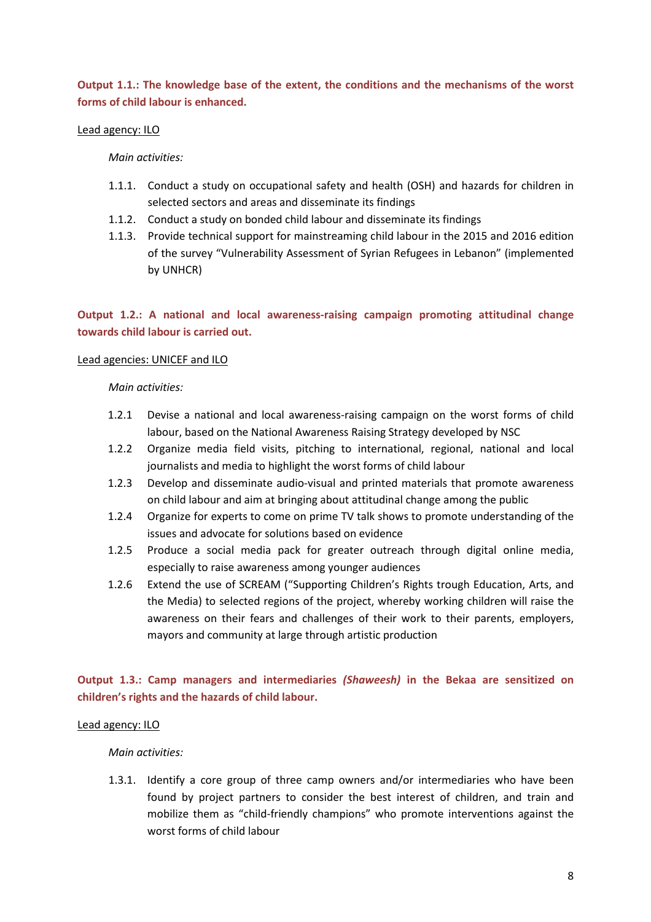**Output 1.1.: The knowledge base of the extent, the conditions and the mechanisms of the worst forms of child labour is enhanced.** 

#### Lead agency: ILO

*Main activities:* 

- 1.1.1. Conduct a study on occupational safety and health (OSH) and hazards for children in selected sectors and areas and disseminate its findings
- 1.1.2. Conduct a study on bonded child labour and disseminate its findings
- 1.1.3. Provide technical support for mainstreaming child labour in the 2015 and 2016 edition of the survey "Vulnerability Assessment of Syrian Refugees in Lebanon" (implemented by UNHCR)

**Output 1.2.: A national and local awareness-raising campaign promoting attitudinal change towards child labour is carried out.** 

#### Lead agencies: UNICEF and ILO

*Main activities:* 

- 1.2.1 Devise a national and local awareness-raising campaign on the worst forms of child labour, based on the National Awareness Raising Strategy developed by NSC
- 1.2.2 Organize media field visits, pitching to international, regional, national and local journalists and media to highlight the worst forms of child labour
- 1.2.3 Develop and disseminate audio-visual and printed materials that promote awareness on child labour and aim at bringing about attitudinal change among the public
- 1.2.4 Organize for experts to come on prime TV talk shows to promote understanding of the issues and advocate for solutions based on evidence
- 1.2.5 Produce a social media pack for greater outreach through digital online media, especially to raise awareness among younger audiences
- 1.2.6 Extend the use of SCREAM ("Supporting Children's Rights trough Education, Arts, and the Media) to selected regions of the project, whereby working children will raise the awareness on their fears and challenges of their work to their parents, employers, mayors and community at large through artistic production

#### **Output 1.3.: Camp managers and intermediaries** *(Shaweesh)* **in the Bekaa are sensitized on children's rights and the hazards of child labour.**

#### Lead agency: ILO

*Main activities:* 

1.3.1. Identify a core group of three camp owners and/or intermediaries who have been found by project partners to consider the best interest of children, and train and mobilize them as "child-friendly champions" who promote interventions against the worst forms of child labour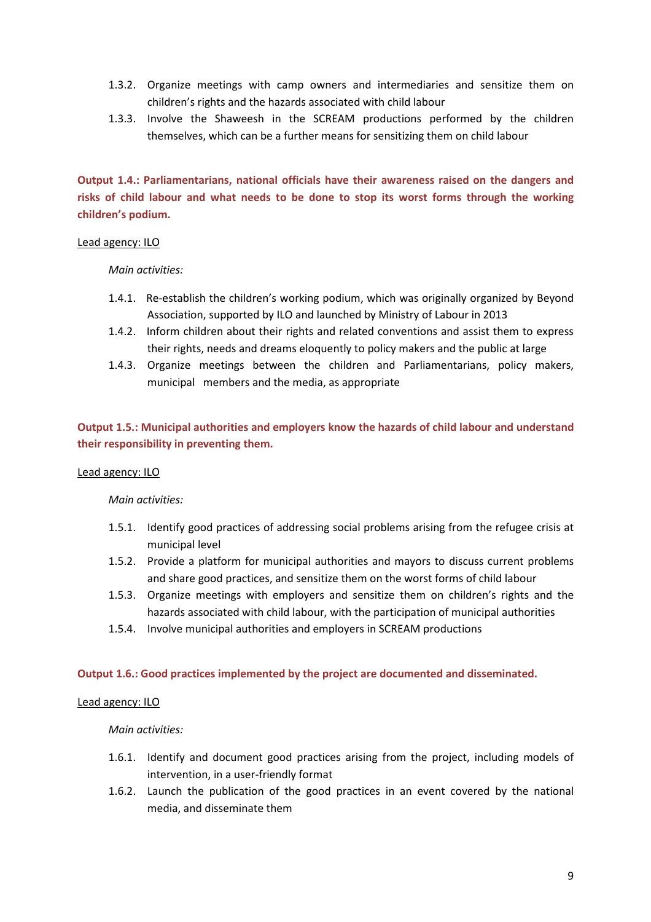- 1.3.2. Organize meetings with camp owners and intermediaries and sensitize them on children's rights and the hazards associated with child labour
- 1.3.3. Involve the Shaweesh in the SCREAM productions performed by the children themselves, which can be a further means for sensitizing them on child labour

**Output 1.4.: Parliamentarians, national officials have their awareness raised on the dangers and risks of child labour and what needs to be done to stop its worst forms through the working children's podium.** 

#### Lead agency: ILO

#### *Main activities:*

- 1.4.1. Re-establish the children's working podium, which was originally organized by Beyond Association, supported by ILO and launched by Ministry of Labour in 2013
- 1.4.2. Inform children about their rights and related conventions and assist them to express their rights, needs and dreams eloquently to policy makers and the public at large
- 1.4.3. Organize meetings between the children and Parliamentarians, policy makers, municipal members and the media, as appropriate

**Output 1.5.: Municipal authorities and employers know the hazards of child labour and understand their responsibility in preventing them.** 

#### Lead agency: ILO

#### *Main activities:*

- 1.5.1. Identify good practices of addressing social problems arising from the refugee crisis at municipal level
- 1.5.2. Provide a platform for municipal authorities and mayors to discuss current problems and share good practices, and sensitize them on the worst forms of child labour
- 1.5.3. Organize meetings with employers and sensitize them on children's rights and the hazards associated with child labour, with the participation of municipal authorities
- 1.5.4. Involve municipal authorities and employers in SCREAM productions

#### **Output 1.6.: Good practices implemented by the project are documented and disseminated.**

#### Lead agency: ILO

- 1.6.1. Identify and document good practices arising from the project, including models of intervention, in a user-friendly format
- 1.6.2. Launch the publication of the good practices in an event covered by the national media, and disseminate them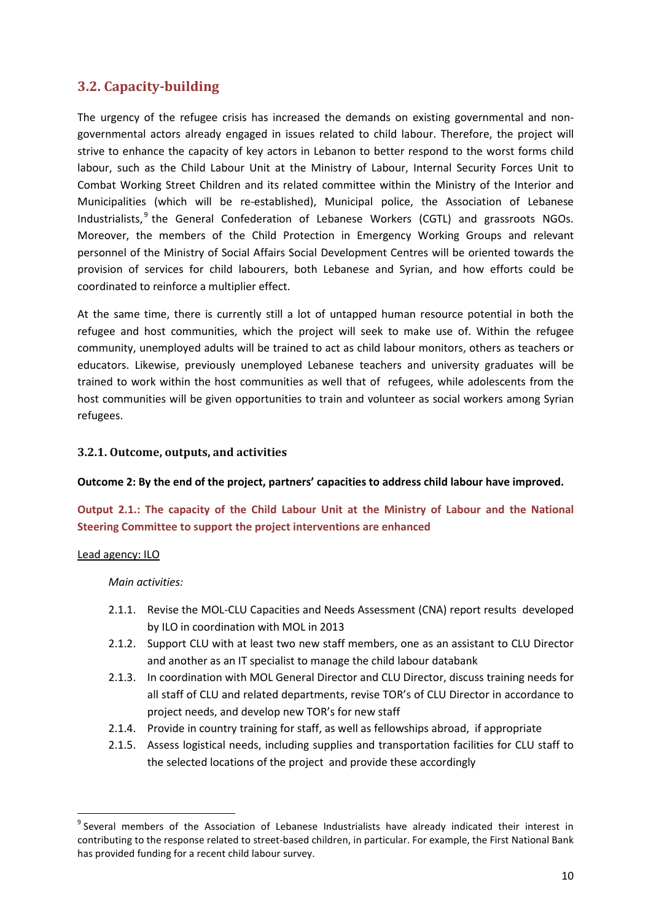### **3.2. Capacity-building**

The urgency of the refugee crisis has increased the demands on existing governmental and nongovernmental actors already engaged in issues related to child labour. Therefore, the project will strive to enhance the capacity of key actors in Lebanon to better respond to the worst forms child labour, such as the Child Labour Unit at the Ministry of Labour, Internal Security Forces Unit to Combat Working Street Children and its related committee within the Ministry of the Interior and Municipalities (which will be re-established), Municipal police, the Association of Lebanese Industrialists,<sup>9</sup> the General Confederation of Lebanese Workers (CGTL) and grassroots NGOs. Moreover, the members of the Child Protection in Emergency Working Groups and relevant personnel of the Ministry of Social Affairs Social Development Centres will be oriented towards the provision of services for child labourers, both Lebanese and Syrian, and how efforts could be coordinated to reinforce a multiplier effect.

At the same time, there is currently still a lot of untapped human resource potential in both the refugee and host communities, which the project will seek to make use of. Within the refugee community, unemployed adults will be trained to act as child labour monitors, others as teachers or educators. Likewise, previously unemployed Lebanese teachers and university graduates will be trained to work within the host communities as well that of refugees, while adolescents from the host communities will be given opportunities to train and volunteer as social workers among Syrian refugees.

#### **3.2.1. Outcome, outputs, and activities**

**Outcome 2: By the end of the project, partners' capacities to address child labour have improved.** 

**Output 2.1.: The capacity of the Child Labour Unit at the Ministry of Labour and the National Steering Committee to support the project interventions are enhanced** 

#### Lead agency: ILO

l

- 2.1.1. Revise the MOL-CLU Capacities and Needs Assessment (CNA) report results developed by ILO in coordination with MOL in 2013
- 2.1.2. Support CLU with at least two new staff members, one as an assistant to CLU Director and another as an IT specialist to manage the child labour databank
- 2.1.3. In coordination with MOL General Director and CLU Director, discuss training needs for all staff of CLU and related departments, revise TOR's of CLU Director in accordance to project needs, and develop new TOR's for new staff
- 2.1.4. Provide in country training for staff, as well as fellowships abroad, if appropriate
- 2.1.5. Assess logistical needs, including supplies and transportation facilities for CLU staff to the selected locations of the project and provide these accordingly

<sup>&</sup>lt;sup>9</sup> Several members of the Association of Lebanese Industrialists have already indicated their interest in contributing to the response related to street-based children, in particular. For example, the First National Bank has provided funding for a recent child labour survey.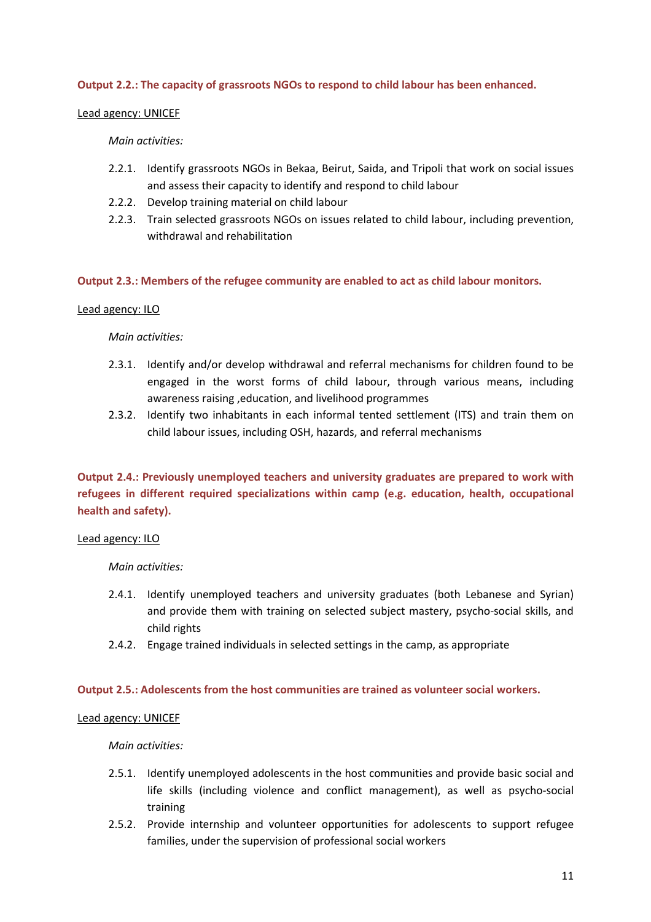#### **Output 2.2.: The capacity of grassroots NGOs to respond to child labour has been enhanced.**

#### Lead agency: UNICEF

#### *Main activities:*

- 2.2.1. Identify grassroots NGOs in Bekaa, Beirut, Saida, and Tripoli that work on social issues and assess their capacity to identify and respond to child labour
- 2.2.2. Develop training material on child labour
- 2.2.3. Train selected grassroots NGOs on issues related to child labour, including prevention, withdrawal and rehabilitation

#### **Output 2.3.: Members of the refugee community are enabled to act as child labour monitors.**

#### Lead agency: ILO

#### *Main activities:*

- 2.3.1. Identify and/or develop withdrawal and referral mechanisms for children found to be engaged in the worst forms of child labour, through various means, including awareness raising ,education, and livelihood programmes
- 2.3.2. Identify two inhabitants in each informal tented settlement (ITS) and train them on child labour issues, including OSH, hazards, and referral mechanisms

#### **Output 2.4.: Previously unemployed teachers and university graduates are prepared to work with refugees in different required specializations within camp (e.g. education, health, occupational health and safety).**

#### Lead agency: ILO

*Main activities:* 

- 2.4.1. Identify unemployed teachers and university graduates (both Lebanese and Syrian) and provide them with training on selected subject mastery, psycho-social skills, and child rights
- 2.4.2. Engage trained individuals in selected settings in the camp, as appropriate

#### **Output 2.5.: Adolescents from the host communities are trained as volunteer social workers.**

#### Lead agency: UNICEF

- 2.5.1. Identify unemployed adolescents in the host communities and provide basic social and life skills (including violence and conflict management), as well as psycho-social training
- 2.5.2. Provide internship and volunteer opportunities for adolescents to support refugee families, under the supervision of professional social workers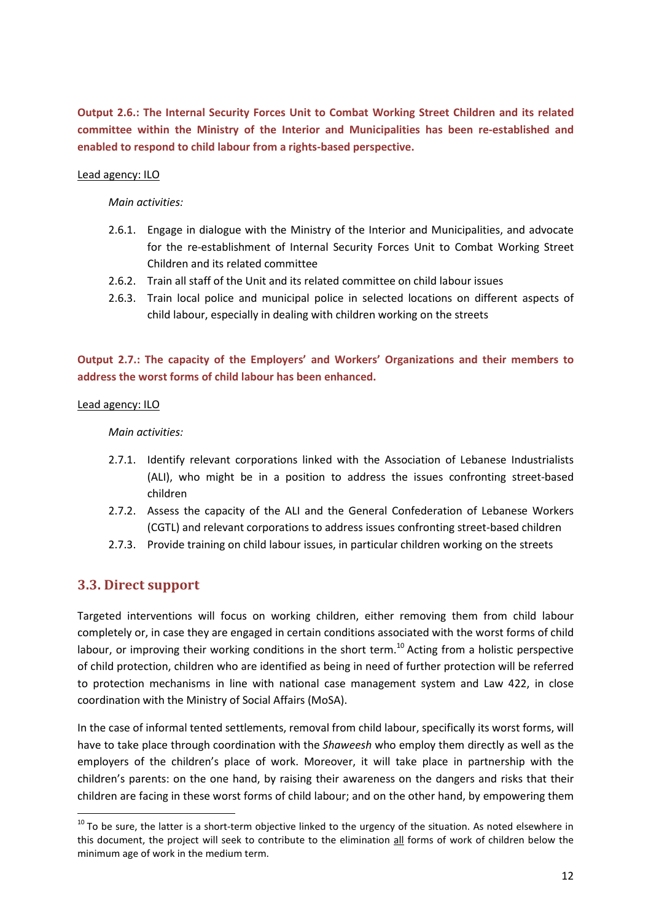**Output 2.6.: The Internal Security Forces Unit to Combat Working Street Children and its related committee within the Ministry of the Interior and Municipalities has been re-established and enabled to respond to child labour from a rights-based perspective.** 

#### Lead agency: ILO

*Main activities:* 

- 2.6.1. Engage in dialogue with the Ministry of the Interior and Municipalities, and advocate for the re-establishment of Internal Security Forces Unit to Combat Working Street Children and its related committee
- 2.6.2. Train all staff of the Unit and its related committee on child labour issues
- 2.6.3. Train local police and municipal police in selected locations on different aspects of child labour, especially in dealing with children working on the streets

**Output 2.7.: The capacity of the Employers' and Workers' Organizations and their members to address the worst forms of child labour has been enhanced.** 

#### Lead agency: ILO

*Main activities:* 

- 2.7.1. Identify relevant corporations linked with the Association of Lebanese Industrialists (ALI), who might be in a position to address the issues confronting street-based children
- 2.7.2. Assess the capacity of the ALI and the General Confederation of Lebanese Workers (CGTL) and relevant corporations to address issues confronting street-based children
- 2.7.3. Provide training on child labour issues, in particular children working on the streets

#### **3.3. Direct support**

l

Targeted interventions will focus on working children, either removing them from child labour completely or, in case they are engaged in certain conditions associated with the worst forms of child labour, or improving their working conditions in the short term.<sup>10</sup> Acting from a holistic perspective of child protection, children who are identified as being in need of further protection will be referred to protection mechanisms in line with national case management system and Law 422, in close coordination with the Ministry of Social Affairs (MoSA).

In the case of informal tented settlements, removal from child labour, specifically its worst forms, will have to take place through coordination with the *Shaweesh* who employ them directly as well as the employers of the children's place of work. Moreover, it will take place in partnership with the children's parents: on the one hand, by raising their awareness on the dangers and risks that their children are facing in these worst forms of child labour; and on the other hand, by empowering them

 $10$  To be sure, the latter is a short-term objective linked to the urgency of the situation. As noted elsewhere in this document, the project will seek to contribute to the elimination all forms of work of children below the minimum age of work in the medium term.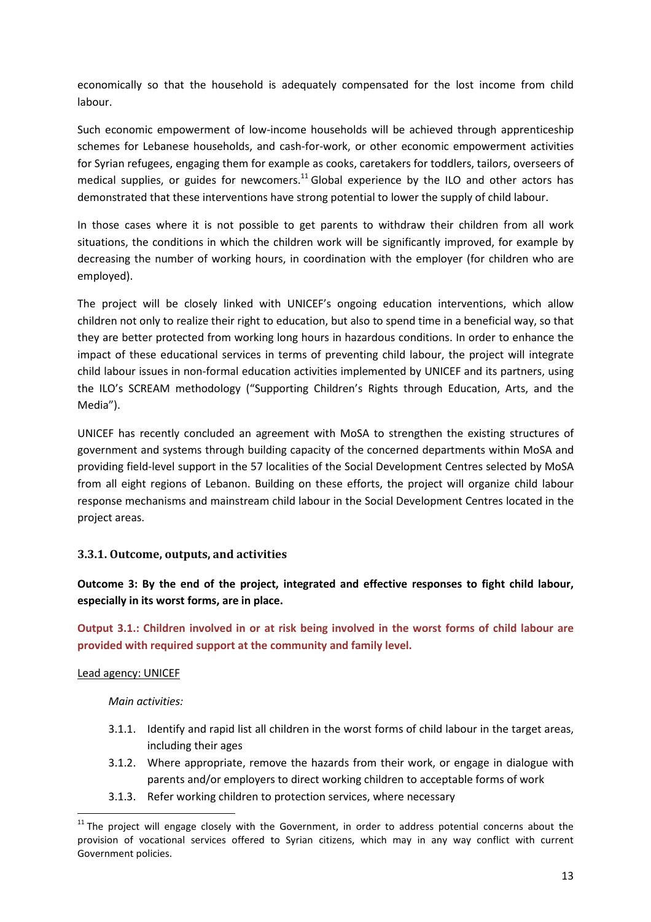economically so that the household is adequately compensated for the lost income from child labour.

Such economic empowerment of low-income households will be achieved through apprenticeship schemes for Lebanese households, and cash-for-work, or other economic empowerment activities for Syrian refugees, engaging them for example as cooks, caretakers for toddlers, tailors, overseers of medical supplies, or guides for newcomers.<sup>11</sup> Global experience by the ILO and other actors has demonstrated that these interventions have strong potential to lower the supply of child labour.

In those cases where it is not possible to get parents to withdraw their children from all work situations, the conditions in which the children work will be significantly improved, for example by decreasing the number of working hours, in coordination with the employer (for children who are employed).

The project will be closely linked with UNICEF's ongoing education interventions, which allow children not only to realize their right to education, but also to spend time in a beneficial way, so that they are better protected from working long hours in hazardous conditions. In order to enhance the impact of these educational services in terms of preventing child labour, the project will integrate child labour issues in non-formal education activities implemented by UNICEF and its partners, using the ILO's SCREAM methodology ("Supporting Children's Rights through Education, Arts, and the Media").

UNICEF has recently concluded an agreement with MoSA to strengthen the existing structures of government and systems through building capacity of the concerned departments within MoSA and providing field-level support in the 57 localities of the Social Development Centres selected by MoSA from all eight regions of Lebanon. Building on these efforts, the project will organize child labour response mechanisms and mainstream child labour in the Social Development Centres located in the project areas.

#### **3.3.1. Outcome, outputs, and activities**

**Outcome 3: By the end of the project, integrated and effective responses to fight child labour, especially in its worst forms, are in place.** 

**Output 3.1.: Children involved in or at risk being involved in the worst forms of child labour are provided with required support at the community and family level.** 

#### Lead agency: UNICEF

l

- 3.1.1. Identify and rapid list all children in the worst forms of child labour in the target areas, including their ages
- 3.1.2. Where appropriate, remove the hazards from their work, or engage in dialogue with parents and/or employers to direct working children to acceptable forms of work
- 3.1.3. Refer working children to protection services, where necessary

 $11$  The proiect will engage closely with the Government, in order to address potential concerns about the provision of vocational services offered to Syrian citizens, which may in any way conflict with current Government policies.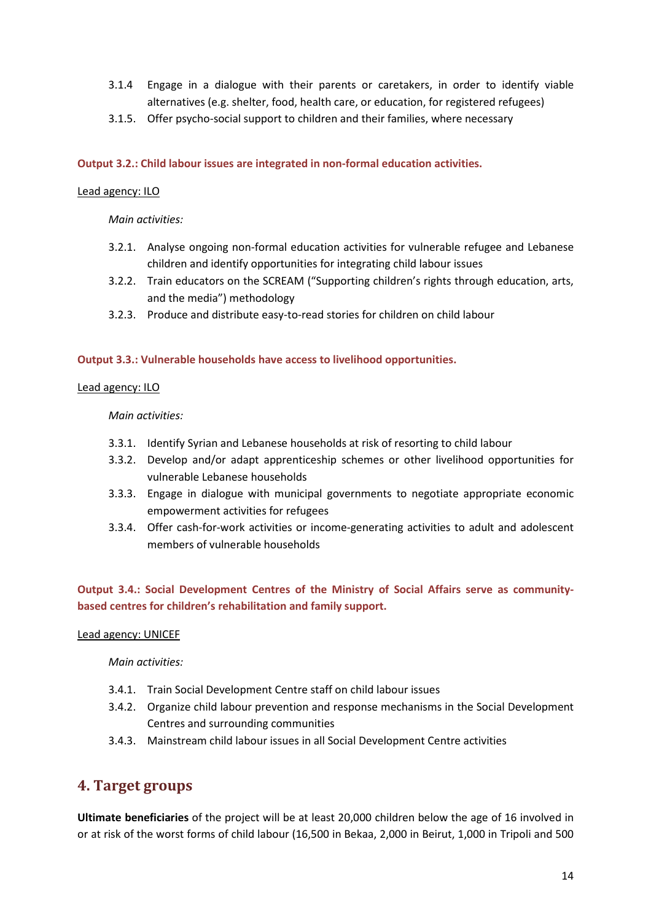- 3.1.4 Engage in a dialogue with their parents or caretakers, in order to identify viable alternatives (e.g. shelter, food, health care, or education, for registered refugees)
- 3.1.5. Offer psycho-social support to children and their families, where necessary

#### **Output 3.2.: Child labour issues are integrated in non-formal education activities.**

#### Lead agency: ILO

#### *Main activities:*

- 3.2.1. Analyse ongoing non-formal education activities for vulnerable refugee and Lebanese children and identify opportunities for integrating child labour issues
- 3.2.2. Train educators on the SCREAM ("Supporting children's rights through education, arts, and the media") methodology
- 3.2.3. Produce and distribute easy-to-read stories for children on child labour

#### **Output 3.3.: Vulnerable households have access to livelihood opportunities.**

#### Lead agency: ILO

*Main activities:* 

- 3.3.1. Identify Syrian and Lebanese households at risk of resorting to child labour
- 3.3.2. Develop and/or adapt apprenticeship schemes or other livelihood opportunities for vulnerable Lebanese households
- 3.3.3. Engage in dialogue with municipal governments to negotiate appropriate economic empowerment activities for refugees
- 3.3.4. Offer cash-for-work activities or income-generating activities to adult and adolescent members of vulnerable households

#### **Output 3.4.: Social Development Centres of the Ministry of Social Affairs serve as communitybased centres for children's rehabilitation and family support.**

#### Lead agency: UNICEF

*Main activities:* 

- 3.4.1. Train Social Development Centre staff on child labour issues
- 3.4.2. Organize child labour prevention and response mechanisms in the Social Development Centres and surrounding communities
- 3.4.3. Mainstream child labour issues in all Social Development Centre activities

### **4. Target groups**

**Ultimate beneficiaries** of the project will be at least 20,000 children below the age of 16 involved in or at risk of the worst forms of child labour (16,500 in Bekaa, 2,000 in Beirut, 1,000 in Tripoli and 500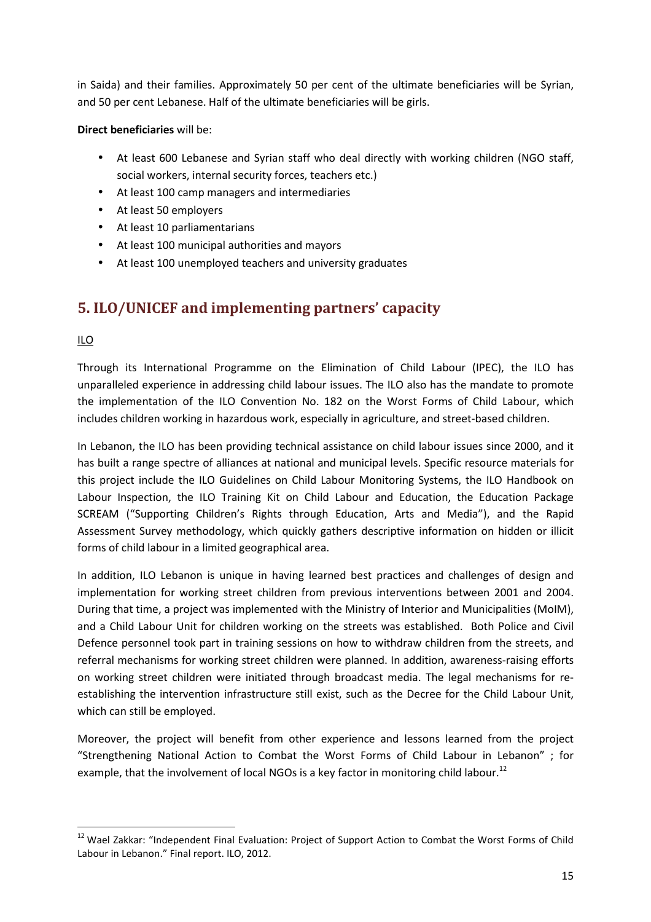in Saida) and their families. Approximately 50 per cent of the ultimate beneficiaries will be Syrian, and 50 per cent Lebanese. Half of the ultimate beneficiaries will be girls.

**Direct beneficiaries** will be:

- At least 600 Lebanese and Syrian staff who deal directly with working children (NGO staff, social workers, internal security forces, teachers etc.)
- At least 100 camp managers and intermediaries
- At least 50 employers
- At least 10 parliamentarians
- At least 100 municipal authorities and mayors
- At least 100 unemployed teachers and university graduates

### **5. ILO/UNICEF and implementing partners' capacity**

#### ILO

Through its International Programme on the Elimination of Child Labour (IPEC), the ILO has unparalleled experience in addressing child labour issues. The ILO also has the mandate to promote the implementation of the ILO Convention No. 182 on the Worst Forms of Child Labour, which includes children working in hazardous work, especially in agriculture, and street-based children.

In Lebanon, the ILO has been providing technical assistance on child labour issues since 2000, and it has built a range spectre of alliances at national and municipal levels. Specific resource materials for this project include the ILO Guidelines on Child Labour Monitoring Systems, the ILO Handbook on Labour Inspection, the ILO Training Kit on Child Labour and Education, the Education Package SCREAM ("Supporting Children's Rights through Education, Arts and Media"), and the Rapid Assessment Survey methodology, which quickly gathers descriptive information on hidden or illicit forms of child labour in a limited geographical area.

In addition, ILO Lebanon is unique in having learned best practices and challenges of design and implementation for working street children from previous interventions between 2001 and 2004. During that time, a project was implemented with the Ministry of Interior and Municipalities (MoIM), and a Child Labour Unit for children working on the streets was established. Both Police and Civil Defence personnel took part in training sessions on how to withdraw children from the streets, and referral mechanisms for working street children were planned. In addition, awareness-raising efforts on working street children were initiated through broadcast media. The legal mechanisms for reestablishing the intervention infrastructure still exist, such as the Decree for the Child Labour Unit, which can still be employed.

Moreover, the project will benefit from other experience and lessons learned from the project "Strengthening National Action to Combat the Worst Forms of Child Labour in Lebanon" ; for example, that the involvement of local NGOs is a key factor in monitoring child labour.<sup>12</sup>

<sup>&</sup>lt;sup>12</sup> Wael Zakkar: "Independent Final Evaluation: Project of Support Action to Combat the Worst Forms of Child Labour in Lebanon." Final report. ILO, 2012.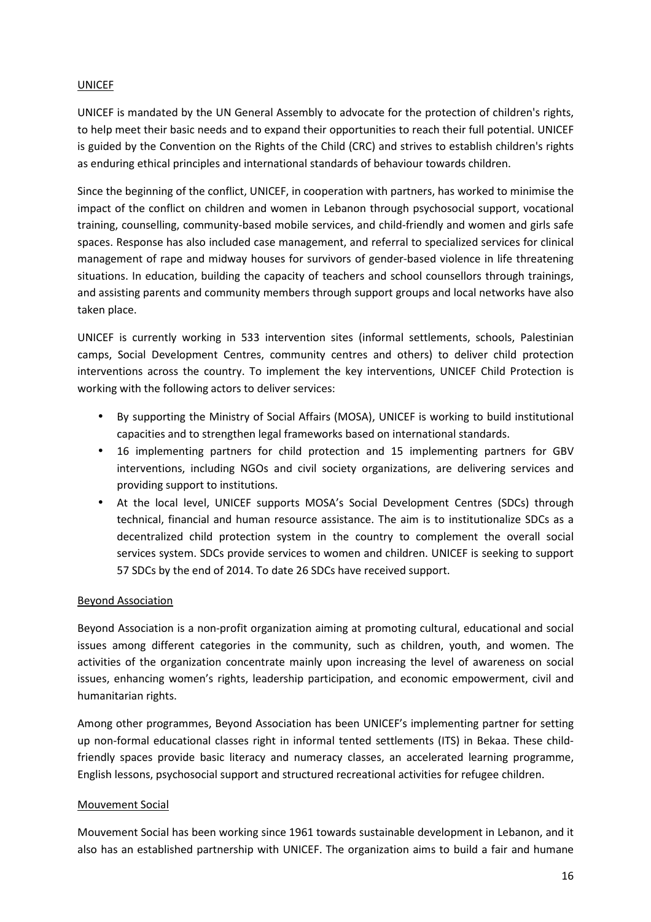#### UNICEF

UNICEF is mandated by the UN General Assembly to advocate for the protection of children's rights, to help meet their basic needs and to expand their opportunities to reach their full potential. UNICEF is guided by the Convention on the Rights of the Child (CRC) and strives to establish children's rights as enduring ethical principles and international standards of behaviour towards children.

Since the beginning of the conflict, UNICEF, in cooperation with partners, has worked to minimise the impact of the conflict on children and women in Lebanon through psychosocial support, vocational training, counselling, community-based mobile services, and child-friendly and women and girls safe spaces. Response has also included case management, and referral to specialized services for clinical management of rape and midway houses for survivors of gender-based violence in life threatening situations. In education, building the capacity of teachers and school counsellors through trainings, and assisting parents and community members through support groups and local networks have also taken place.

UNICEF is currently working in 533 intervention sites (informal settlements, schools, Palestinian camps, Social Development Centres, community centres and others) to deliver child protection interventions across the country. To implement the key interventions, UNICEF Child Protection is working with the following actors to deliver services:

- By supporting the Ministry of Social Affairs (MOSA), UNICEF is working to build institutional capacities and to strengthen legal frameworks based on international standards.
- 16 implementing partners for child protection and 15 implementing partners for GBV interventions, including NGOs and civil society organizations, are delivering services and providing support to institutions.
- At the local level, UNICEF supports MOSA's Social Development Centres (SDCs) through technical, financial and human resource assistance. The aim is to institutionalize SDCs as a decentralized child protection system in the country to complement the overall social services system. SDCs provide services to women and children. UNICEF is seeking to support 57 SDCs by the end of 2014. To date 26 SDCs have received support.

#### Beyond Association

Beyond Association is a non-profit organization aiming at promoting cultural, educational and social issues among different categories in the community, such as children, youth, and women. The activities of the organization concentrate mainly upon increasing the level of awareness on social issues, enhancing women's rights, leadership participation, and economic empowerment, civil and humanitarian rights.

Among other programmes, Beyond Association has been UNICEF's implementing partner for setting up non-formal educational classes right in informal tented settlements (ITS) in Bekaa. These childfriendly spaces provide basic literacy and numeracy classes, an accelerated learning programme, English lessons, psychosocial support and structured recreational activities for refugee children.

#### Mouvement Social

Mouvement Social has been working since 1961 towards sustainable development in Lebanon, and it also has an established partnership with UNICEF. The organization aims to build a fair and humane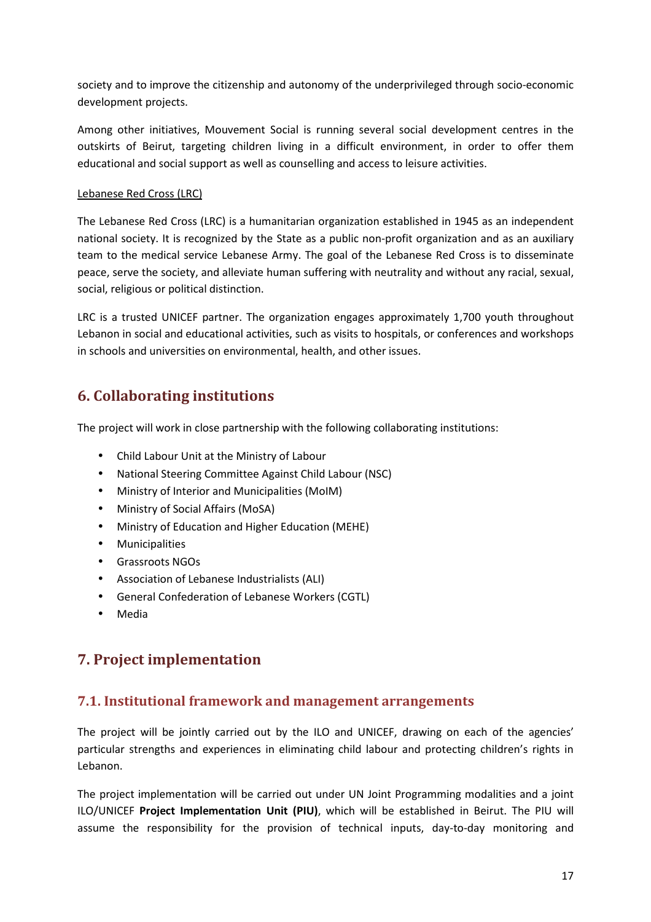society and to improve the citizenship and autonomy of the underprivileged through socio-economic development projects.

Among other initiatives, Mouvement Social is running several social development centres in the outskirts of Beirut, targeting children living in a difficult environment, in order to offer them educational and social support as well as counselling and access to leisure activities.

#### Lebanese Red Cross (LRC)

The Lebanese Red Cross (LRC) is a humanitarian organization established in 1945 as an independent national society. It is recognized by the State as a public non-profit organization and as an auxiliary team to the medical service Lebanese Army. The goal of the Lebanese Red Cross is to disseminate peace, serve the society, and alleviate human suffering with neutrality and without any racial, sexual, social, religious or political distinction.

LRC is a trusted UNICEF partner. The organization engages approximately 1,700 youth throughout Lebanon in social and educational activities, such as visits to hospitals, or conferences and workshops in schools and universities on environmental, health, and other issues.

### **6. Collaborating institutions**

The project will work in close partnership with the following collaborating institutions:

- Child Labour Unit at the Ministry of Labour
- National Steering Committee Against Child Labour (NSC)
- Ministry of Interior and Municipalities (MoIM)
- Ministry of Social Affairs (MoSA)
- Ministry of Education and Higher Education (MEHE)
- Municipalities
- Grassroots NGOs
- Association of Lebanese Industrialists (ALI)
- General Confederation of Lebanese Workers (CGTL)
- Media

### **7. Project implementation**

### **7.1. Institutional framework and management arrangements**

The project will be jointly carried out by the ILO and UNICEF, drawing on each of the agencies' particular strengths and experiences in eliminating child labour and protecting children's rights in Lebanon.

The project implementation will be carried out under UN Joint Programming modalities and a joint ILO/UNICEF **Project Implementation Unit (PIU)**, which will be established in Beirut. The PIU will assume the responsibility for the provision of technical inputs, day-to-day monitoring and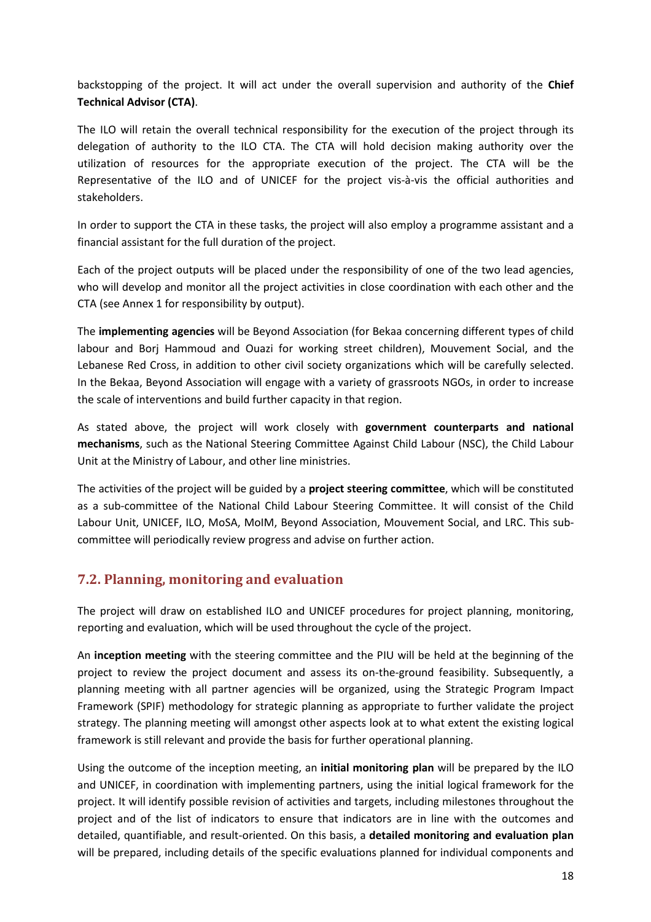backstopping of the project. It will act under the overall supervision and authority of the **Chief Technical Advisor (CTA)**.

The ILO will retain the overall technical responsibility for the execution of the project through its delegation of authority to the ILO CTA. The CTA will hold decision making authority over the utilization of resources for the appropriate execution of the project. The CTA will be the Representative of the ILO and of UNICEF for the project vis-à-vis the official authorities and stakeholders.

In order to support the CTA in these tasks, the project will also employ a programme assistant and a financial assistant for the full duration of the project.

Each of the project outputs will be placed under the responsibility of one of the two lead agencies, who will develop and monitor all the project activities in close coordination with each other and the CTA (see Annex 1 for responsibility by output).

The **implementing agencies** will be Beyond Association (for Bekaa concerning different types of child labour and Borj Hammoud and Ouazi for working street children), Mouvement Social, and the Lebanese Red Cross, in addition to other civil society organizations which will be carefully selected. In the Bekaa, Beyond Association will engage with a variety of grassroots NGOs, in order to increase the scale of interventions and build further capacity in that region.

As stated above, the project will work closely with **government counterparts and national mechanisms**, such as the National Steering Committee Against Child Labour (NSC), the Child Labour Unit at the Ministry of Labour, and other line ministries.

The activities of the project will be guided by a **project steering committee**, which will be constituted as a sub-committee of the National Child Labour Steering Committee. It will consist of the Child Labour Unit, UNICEF, ILO, MoSA, MoIM, Beyond Association, Mouvement Social, and LRC. This subcommittee will periodically review progress and advise on further action.

### **7.2. Planning, monitoring and evaluation**

The project will draw on established ILO and UNICEF procedures for project planning, monitoring, reporting and evaluation, which will be used throughout the cycle of the project.

An **inception meeting** with the steering committee and the PIU will be held at the beginning of the project to review the project document and assess its on-the-ground feasibility. Subsequently, a planning meeting with all partner agencies will be organized, using the Strategic Program Impact Framework (SPIF) methodology for strategic planning as appropriate to further validate the project strategy. The planning meeting will amongst other aspects look at to what extent the existing logical framework is still relevant and provide the basis for further operational planning.

Using the outcome of the inception meeting, an **initial monitoring plan** will be prepared by the ILO and UNICEF, in coordination with implementing partners, using the initial logical framework for the project. It will identify possible revision of activities and targets, including milestones throughout the project and of the list of indicators to ensure that indicators are in line with the outcomes and detailed, quantifiable, and result-oriented. On this basis, a **detailed monitoring and evaluation plan**  will be prepared, including details of the specific evaluations planned for individual components and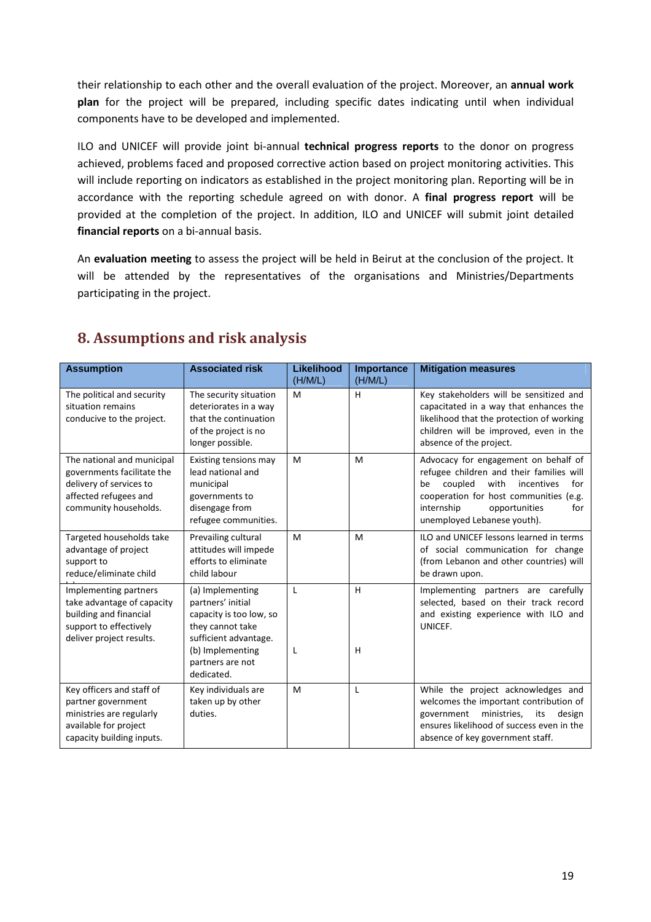their relationship to each other and the overall evaluation of the project. Moreover, an **annual work plan** for the project will be prepared, including specific dates indicating until when individual components have to be developed and implemented.

ILO and UNICEF will provide joint bi-annual **technical progress reports** to the donor on progress achieved, problems faced and proposed corrective action based on project monitoring activities. This will include reporting on indicators as established in the project monitoring plan. Reporting will be in accordance with the reporting schedule agreed on with donor. A **final progress report** will be provided at the completion of the project. In addition, ILO and UNICEF will submit joint detailed **financial reports** on a bi-annual basis.

An **evaluation meeting** to assess the project will be held in Beirut at the conclusion of the project. It will be attended by the representatives of the organisations and Ministries/Departments participating in the project.

| <b>Assumption</b>                                                                                                                     | <b>Associated risk</b>                                                                                                                                              | Likelihood<br>(H/M/L) | Importance<br>(H/M/L) | <b>Mitigation measures</b>                                                                                                                                                                                                                    |
|---------------------------------------------------------------------------------------------------------------------------------------|---------------------------------------------------------------------------------------------------------------------------------------------------------------------|-----------------------|-----------------------|-----------------------------------------------------------------------------------------------------------------------------------------------------------------------------------------------------------------------------------------------|
| The political and security<br>situation remains<br>conducive to the project.                                                          | The security situation<br>deteriorates in a way<br>that the continuation<br>of the project is no<br>longer possible.                                                | M                     | H                     | Key stakeholders will be sensitized and<br>capacitated in a way that enhances the<br>likelihood that the protection of working<br>children will be improved, even in the<br>absence of the project.                                           |
| The national and municipal<br>governments facilitate the<br>delivery of services to<br>affected refugees and<br>community households. | Existing tensions may<br>lead national and<br>municipal<br>governments to<br>disengage from<br>refugee communities.                                                 | M                     | M                     | Advocacy for engagement on behalf of<br>refugee children and their families will<br>coupled<br>with<br>incentives<br>for<br>be<br>cooperation for host communities (e.g.<br>internship<br>opportunities<br>for<br>unemployed Lebanese youth). |
| Targeted households take<br>advantage of project<br>support to<br>reduce/eliminate child                                              | Prevailing cultural<br>attitudes will impede<br>efforts to eliminate<br>child labour                                                                                | M                     | M                     | ILO and UNICEF lessons learned in terms<br>of social communication for change<br>(from Lebanon and other countries) will<br>be drawn upon.                                                                                                    |
| Implementing partners<br>take advantage of capacity<br>building and financial<br>support to effectively<br>deliver project results.   | (a) Implementing<br>partners' initial<br>capacity is too low, so<br>they cannot take<br>sufficient advantage.<br>(b) Implementing<br>partners are not<br>dedicated. | L<br>L                | H<br>H                | Implementing partners are carefully<br>selected, based on their track record<br>and existing experience with ILO and<br>UNICEF.                                                                                                               |
| Key officers and staff of<br>partner government<br>ministries are regularly<br>available for project<br>capacity building inputs.     | Key individuals are<br>taken up by other<br>duties.                                                                                                                 | M                     | L                     | While the project acknowledges and<br>welcomes the important contribution of<br>ministries,<br>government<br>its<br>design<br>ensures likelihood of success even in the<br>absence of key government staff.                                   |

### **8. Assumptions and risk analysis**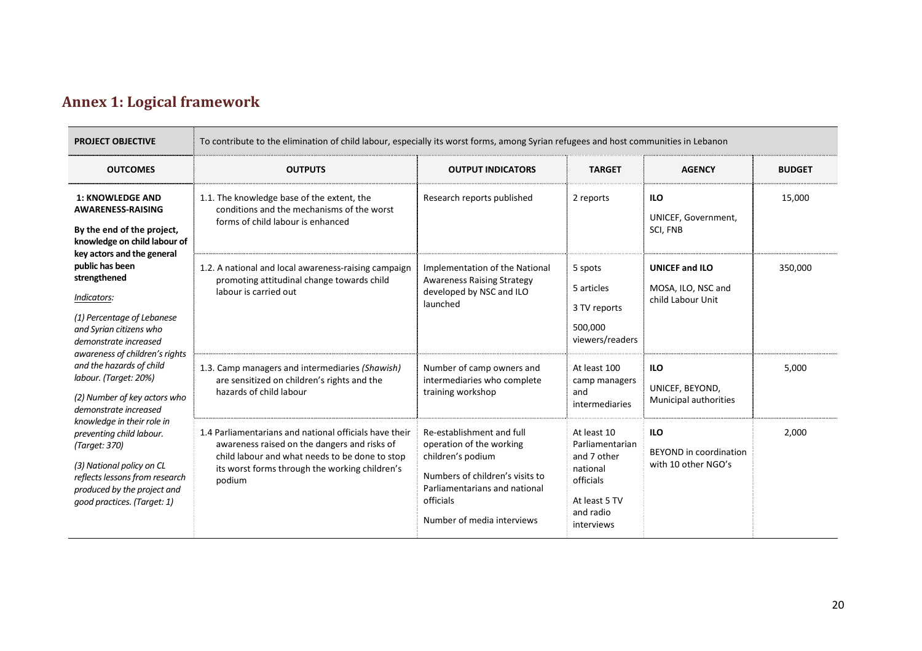### **Annex 1: Logical framework**

| <b>PROJECT OBJECTIVE</b>                                                                                                                                                                                                                                                                                                                                                                                                                                                                                                                                                                                                                    | To contribute to the elimination of child labour, especially its worst forms, among Syrian refugees and host communities in Lebanon                                                                                  |                                                                                                                                                                                           |                                                                                                                    |                                                                    |               |  |
|---------------------------------------------------------------------------------------------------------------------------------------------------------------------------------------------------------------------------------------------------------------------------------------------------------------------------------------------------------------------------------------------------------------------------------------------------------------------------------------------------------------------------------------------------------------------------------------------------------------------------------------------|----------------------------------------------------------------------------------------------------------------------------------------------------------------------------------------------------------------------|-------------------------------------------------------------------------------------------------------------------------------------------------------------------------------------------|--------------------------------------------------------------------------------------------------------------------|--------------------------------------------------------------------|---------------|--|
| <b>OUTCOMES</b>                                                                                                                                                                                                                                                                                                                                                                                                                                                                                                                                                                                                                             | <b>OUTPUTS</b>                                                                                                                                                                                                       | <b>OUTPUT INDICATORS</b>                                                                                                                                                                  | <b>TARGET</b>                                                                                                      | <b>AGENCY</b>                                                      | <b>BUDGET</b> |  |
| <b>1: KNOWLEDGE AND</b><br><b>AWARENESS-RAISING</b><br>By the end of the project,<br>knowledge on child labour of<br>key actors and the general<br>public has been<br>strengthened<br>Indicators:<br>(1) Percentage of Lebanese<br>and Syrian citizens who<br>demonstrate increased<br>awareness of children's rights<br>and the hazards of child<br>labour. (Target: 20%)<br>(2) Number of key actors who<br>demonstrate increased<br>knowledge in their role in<br>preventing child labour.<br>(Target: 370)<br>(3) National policy on CL<br>reflects lessons from research<br>produced by the project and<br>good practices. (Target: 1) | 1.1. The knowledge base of the extent, the<br>conditions and the mechanisms of the worst<br>forms of child labour is enhanced                                                                                        | Research reports published                                                                                                                                                                | 2 reports                                                                                                          | <b>ILO</b><br>UNICEF, Government,<br>SCI, FNB                      | 15,000        |  |
|                                                                                                                                                                                                                                                                                                                                                                                                                                                                                                                                                                                                                                             | 1.2. A national and local awareness-raising campaign<br>promoting attitudinal change towards child<br>labour is carried out                                                                                          | Implementation of the National<br><b>Awareness Raising Strategy</b><br>developed by NSC and ILO<br>launched                                                                               | 5 spots<br>5 articles<br>3 TV reports<br>500,000<br>viewers/readers                                                | <b>UNICEF and ILO</b><br>MOSA, ILO, NSC and<br>child Labour Unit   | 350,000       |  |
|                                                                                                                                                                                                                                                                                                                                                                                                                                                                                                                                                                                                                                             | 1.3. Camp managers and intermediaries (Shawish)<br>are sensitized on children's rights and the<br>hazards of child labour                                                                                            | Number of camp owners and<br>intermediaries who complete<br>training workshop                                                                                                             | At least 100<br>camp managers<br>and<br>intermediaries                                                             | <b>ILO</b><br>UNICEF, BEYOND,<br>Municipal authorities             | 5.000         |  |
|                                                                                                                                                                                                                                                                                                                                                                                                                                                                                                                                                                                                                                             | 1.4 Parliamentarians and national officials have their<br>awareness raised on the dangers and risks of<br>child labour and what needs to be done to stop<br>its worst forms through the working children's<br>podium | Re-establishment and full<br>operation of the working<br>children's podium<br>Numbers of children's visits to<br>Parliamentarians and national<br>officials<br>Number of media interviews | At least 10<br>Parliamentarian<br>and 7 other<br>national<br>officials<br>At least 5 TV<br>and radio<br>interviews | <b>ILO</b><br><b>BEYOND</b> in coordination<br>with 10 other NGO's | 2,000         |  |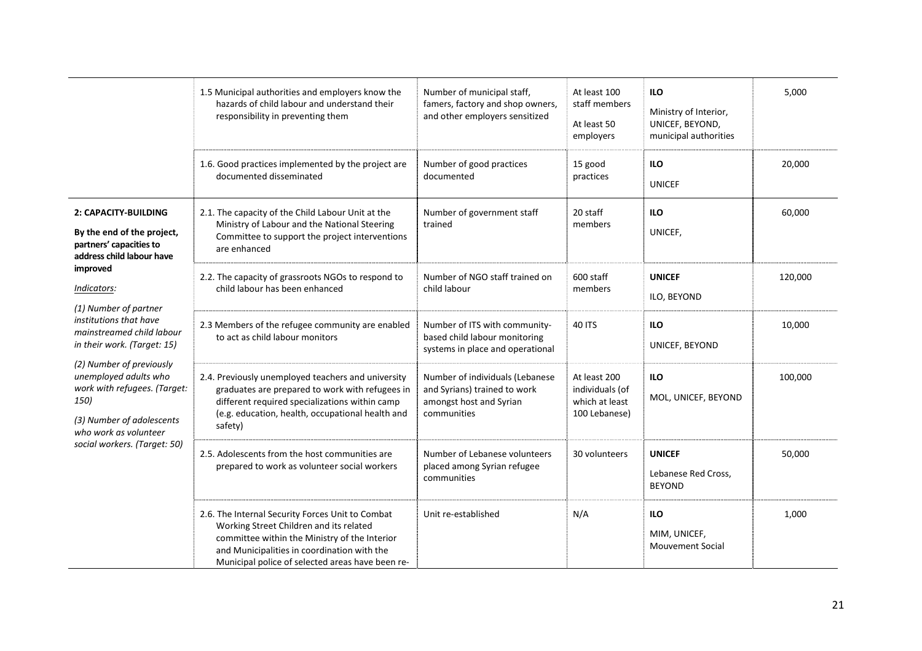|                                                                                                                                                                                                                                                                                                                                                                                                                                         | 1.5 Municipal authorities and employers know the<br>hazards of child labour and understand their<br>responsibility in preventing them                                                                                                           | Number of municipal staff,<br>famers, factory and shop owners,<br>and other employers sensitized          | At least 100<br>staff members<br>At least 50<br>employers          | <b>ILO</b><br>Ministry of Interior,<br>UNICEF, BEYOND,<br>municipal authorities | 5,000   |
|-----------------------------------------------------------------------------------------------------------------------------------------------------------------------------------------------------------------------------------------------------------------------------------------------------------------------------------------------------------------------------------------------------------------------------------------|-------------------------------------------------------------------------------------------------------------------------------------------------------------------------------------------------------------------------------------------------|-----------------------------------------------------------------------------------------------------------|--------------------------------------------------------------------|---------------------------------------------------------------------------------|---------|
|                                                                                                                                                                                                                                                                                                                                                                                                                                         | 1.6. Good practices implemented by the project are<br>documented disseminated                                                                                                                                                                   | Number of good practices<br>documented                                                                    | 15 good<br>practices                                               | <b>ILO</b><br><b>UNICEF</b>                                                     | 20,000  |
| 2: CAPACITY-BUILDING<br>By the end of the project,<br>partners' capacities to<br>address child labour have<br>improved<br>Indicators:<br>(1) Number of partner<br>institutions that have<br>mainstreamed child labour<br>in their work. (Target: 15)<br>(2) Number of previously<br>unemployed adults who<br>work with refugees. (Target:<br>150)<br>(3) Number of adolescents<br>who work as volunteer<br>social workers. (Target: 50) | 2.1. The capacity of the Child Labour Unit at the<br>Ministry of Labour and the National Steering<br>Committee to support the project interventions<br>are enhanced                                                                             | Number of government staff<br>trained                                                                     | 20 staff<br>members                                                | <b>ILO</b><br>UNICEF,                                                           | 60,000  |
|                                                                                                                                                                                                                                                                                                                                                                                                                                         | 2.2. The capacity of grassroots NGOs to respond to<br>child labour has been enhanced                                                                                                                                                            | Number of NGO staff trained on<br>child labour                                                            | 600 staff<br>members                                               | <b>UNICEF</b><br>ILO, BEYOND                                                    | 120,000 |
|                                                                                                                                                                                                                                                                                                                                                                                                                                         | 2.3 Members of the refugee community are enabled<br>to act as child labour monitors                                                                                                                                                             | Number of ITS with community-<br>based child labour monitoring<br>systems in place and operational        | <b>40 ITS</b>                                                      | <b>ILO</b><br>UNICEF, BEYOND                                                    | 10,000  |
|                                                                                                                                                                                                                                                                                                                                                                                                                                         | 2.4. Previously unemployed teachers and university<br>graduates are prepared to work with refugees in<br>different required specializations within camp<br>(e.g. education, health, occupational health and<br>safety)                          | Number of individuals (Lebanese<br>and Syrians) trained to work<br>amongst host and Syrian<br>communities | At least 200<br>individuals (of<br>which at least<br>100 Lebanese) | <b>ILO</b><br>MOL, UNICEF, BEYOND                                               | 100,000 |
|                                                                                                                                                                                                                                                                                                                                                                                                                                         | 2.5. Adolescents from the host communities are<br>prepared to work as volunteer social workers                                                                                                                                                  | Number of Lebanese volunteers<br>placed among Syrian refugee<br>communities                               | 30 volunteers                                                      | <b>UNICEF</b><br>Lebanese Red Cross,<br><b>BEYOND</b>                           | 50,000  |
|                                                                                                                                                                                                                                                                                                                                                                                                                                         | 2.6. The Internal Security Forces Unit to Combat<br>Working Street Children and its related<br>committee within the Ministry of the Interior<br>and Municipalities in coordination with the<br>Municipal police of selected areas have been re- | Unit re-established                                                                                       | N/A                                                                | <b>ILO</b><br>MIM, UNICEF,<br><b>Mouvement Social</b>                           | 1,000   |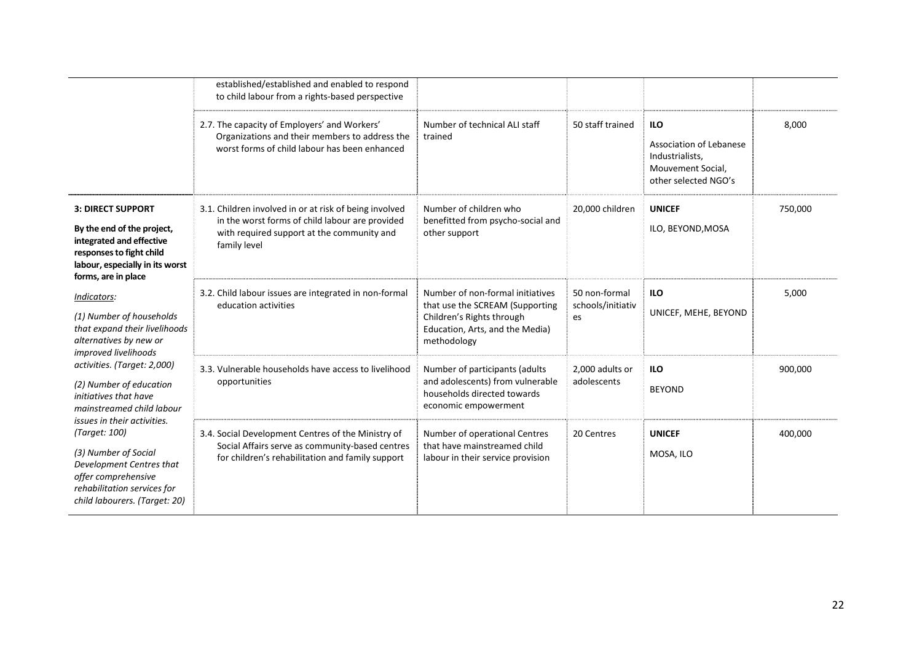|                                                                                                                                                                                                                                                                                                                                                                                                                                                                                                                                                                                                                   | established/established and enabled to respond<br>to child labour from a rights-based perspective                                                                       |                                                                                                                                                    |                                          |                                                                                                       |         |
|-------------------------------------------------------------------------------------------------------------------------------------------------------------------------------------------------------------------------------------------------------------------------------------------------------------------------------------------------------------------------------------------------------------------------------------------------------------------------------------------------------------------------------------------------------------------------------------------------------------------|-------------------------------------------------------------------------------------------------------------------------------------------------------------------------|----------------------------------------------------------------------------------------------------------------------------------------------------|------------------------------------------|-------------------------------------------------------------------------------------------------------|---------|
|                                                                                                                                                                                                                                                                                                                                                                                                                                                                                                                                                                                                                   | 2.7. The capacity of Employers' and Workers'<br>Organizations and their members to address the<br>worst forms of child labour has been enhanced                         | Number of technical ALI staff<br>trained                                                                                                           | 50 staff trained                         | <b>ILO</b><br>Association of Lebanese<br>Industrialists,<br>Mouvement Social,<br>other selected NGO's | 8,000   |
| <b>3: DIRECT SUPPORT</b><br>By the end of the project,<br>integrated and effective<br>responses to fight child<br>labour, especially in its worst<br>forms, are in place<br>Indicators:<br>(1) Number of households<br>that expand their livelihoods<br>alternatives by new or<br>improved livelihoods<br>activities. (Target: 2,000)<br>(2) Number of education<br>initiatives that have<br>mainstreamed child labour<br>issues in their activities.<br>(Target: 100)<br>(3) Number of Social<br>Development Centres that<br>offer comprehensive<br>rehabilitation services for<br>child labourers. (Target: 20) | 3.1. Children involved in or at risk of being involved<br>in the worst forms of child labour are provided<br>with required support at the community and<br>family level | Number of children who<br>benefitted from psycho-social and<br>other support                                                                       | 20,000 children                          | <b>UNICEF</b><br>ILO, BEYOND, MOSA                                                                    | 750,000 |
|                                                                                                                                                                                                                                                                                                                                                                                                                                                                                                                                                                                                                   | 3.2. Child labour issues are integrated in non-formal<br>education activities                                                                                           | Number of non-formal initiatives<br>that use the SCREAM (Supporting<br>Children's Rights through<br>Education, Arts, and the Media)<br>methodology | 50 non-formal<br>schools/initiativ<br>es | <b>ILO</b><br>UNICEF, MEHE, BEYOND                                                                    | 5,000   |
|                                                                                                                                                                                                                                                                                                                                                                                                                                                                                                                                                                                                                   | 3.3. Vulnerable households have access to livelihood<br>opportunities                                                                                                   | Number of participants (adults<br>and adolescents) from vulnerable<br>households directed towards<br>economic empowerment                          | 2,000 adults or<br>adolescents           | <b>ILO</b><br><b>BEYOND</b>                                                                           | 900,000 |
|                                                                                                                                                                                                                                                                                                                                                                                                                                                                                                                                                                                                                   | 3.4. Social Development Centres of the Ministry of<br>Social Affairs serve as community-based centres<br>for children's rehabilitation and family support               | Number of operational Centres<br>that have mainstreamed child<br>labour in their service provision                                                 | 20 Centres                               | <b>UNICEF</b><br>MOSA, ILO                                                                            | 400,000 |